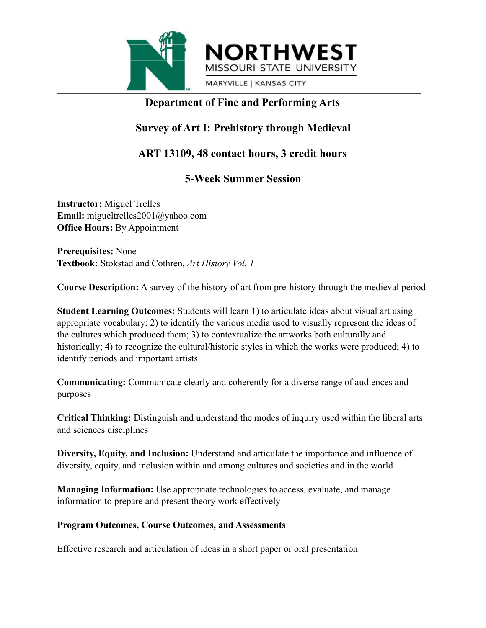



MARYVILLE | KANSAS CITY

### **Department of Fine and Performing Arts**

# **Survey of Art I: Prehistory through Medieval**

## **ART 13109, 48 contact hours, 3 credit hours**

## **5-Week Summer Session**

**Instructor:** Miguel Trelles **Email:** migueltrelles2001@yahoo.com **Office Hours:** By Appointment

**Prerequisites:** None **Textbook:** Stokstad and Cothren, *Art History Vol. 1*

**Course Description:** A survey of the history of art from pre-history through the medieval period

**Student Learning Outcomes:** Students will learn 1) to articulate ideas about visual art using appropriate vocabulary; 2) to identify the various media used to visually represent the ideas of the cultures which produced them; 3) to contextualize the artworks both culturally and historically; 4) to recognize the cultural/historic styles in which the works were produced; 4) to identify periods and important artists

**Communicating:** Communicate clearly and coherently for a diverse range of audiences and purposes

**Critical Thinking:** Distinguish and understand the modes of inquiry used within the liberal arts and sciences disciplines

**Diversity, Equity, and Inclusion:** Understand and articulate the importance and influence of diversity, equity, and inclusion within and among cultures and societies and in the world

**Managing Information:** Use appropriate technologies to access, evaluate, and manage information to prepare and present theory work effectively

#### **Program Outcomes, Course Outcomes, and Assessments**

Effective research and articulation of ideas in a short paper or oral presentation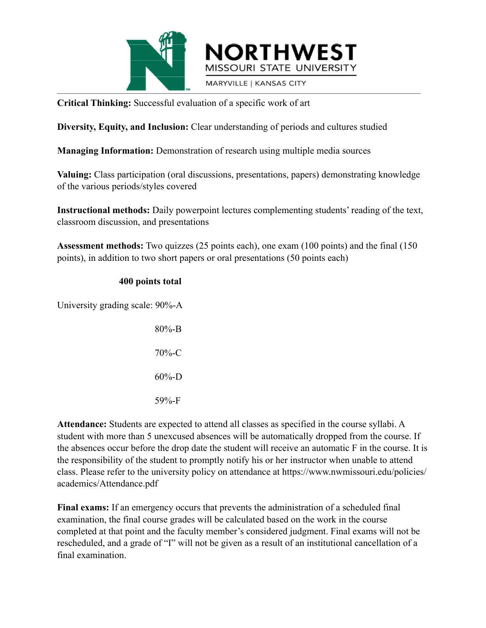



MARYVILLE | KANSAS CITY

**Critical Thinking:** Successful evaluation of a specific work of art

**Diversity, Equity, and Inclusion:** Clear understanding of periods and cultures studied

**Managing Information:** Demonstration of research using multiple media sources

**Valuing:** Class participation (oral discussions, presentations, papers) demonstrating knowledge of the various periods/styles covered

**Instructional methods:** Daily powerpoint lectures complementing students' reading of the text, classroom discussion, and presentations

**Assessment methods:** Two quizzes (25 points each), one exam (100 points) and the final (150 points), in addition to two short papers or oral presentations (50 points each)

#### **400 points total**

University grading scale: 90%-A

| 80%-B      |
|------------|
| 70%-C      |
| $60\% - D$ |
| 59%-F      |

**Attendance:** Students are expected to attend all classes as specified in the course syllabi. A student with more than 5 unexcused absences will be automatically dropped from the course. If the absences occur before the drop date the student will receive an automatic F in the course. It is the responsibility of the student to promptly notify his or her instructor when unable to attend class. Please refer to the university policy on attendance at https://www.nwmissouri.edu/policies/ academics/Attendance.pdf

**Final exams:** If an emergency occurs that prevents the administration of a scheduled final examination, the final course grades will be calculated based on the work in the course completed at that point and the faculty member's considered judgment. Final exams will not be rescheduled, and a grade of "I" will not be given as a result of an institutional cancellation of a final examination.